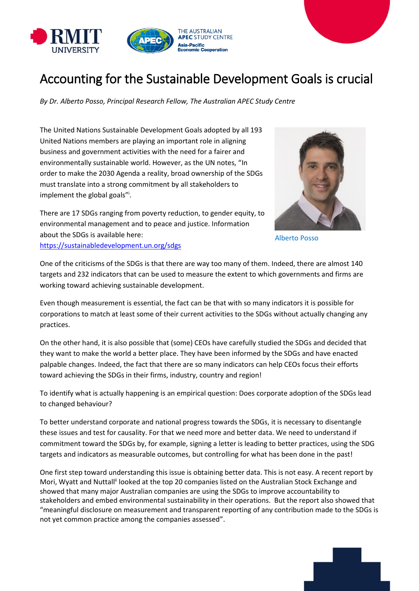

## Accounting for the Sustainable Development Goals is crucial

*By Dr. Alberto Posso, Principal Research Fellow, The Australian APEC Study Centre*

The United Nations Sustainable Development Goals adopted by all 193 United Nations members are playing an important role in aligning business and government activities with the need for a fairer and environmentally sustainable world. However, as the UN notes, "In order to make the 2030 Agenda a reality, broad ownership of the SDGs must translate into a strong commitment by all stakeholders to implement the global goals"<sup>i</sup>.



There are 17 SDGs ranging from poverty reduction, to gender equity, to environmental management and to peace and justice. Information about the SDGs is available here: <https://sustainabledevelopment.un.org/sdgs>

Alberto Posso

One of the criticisms of the SDGs is that there are way too many of them. Indeed, there are almost 140 targets and 232 indicators that can be used to measure the extent to which governments and firms are working toward achieving sustainable development.

Even though measurement is essential, the fact can be that with so many indicators it is possible for corporations to match at least some of their current activities to the SDGs without actually changing any practices.

On the other hand, it is also possible that (some) CEOs have carefully studied the SDGs and decided that they want to make the world a better place. They have been informed by the SDGs and have enacted palpable changes. Indeed, the fact that there are so many indicators can help CEOs focus their efforts toward achieving the SDGs in their firms, industry, country and region!

To identify what is actually happening is an empirical question: Does corporate adoption of the SDGs lead to changed behaviour?

To better understand corporate and national progress towards the SDGs, it is necessary to disentangle these issues and test for causality. For that we need more and better data. We need to understand if commitment toward the SDGs by, for example, signing a letter is leading to better practices, using the SDG targets and indicators as measurable outcomes, but controlling for what has been done in the past!

One first step toward understanding this issue is obtaining better data. This is not easy. A recent report by Mori, Wyatt and Nuttall<sup>ii</sup> looked at the top 20 companies listed on the Australian Stock Exchange and showed that many major Australian companies are using the SDGs to improve accountability to stakeholders and embed environmental sustainability in their operations. But the report also showed that "meaningful disclosure on measurement and transparent reporting of any contribution made to the SDGs is not yet common practice among the companies assessed".